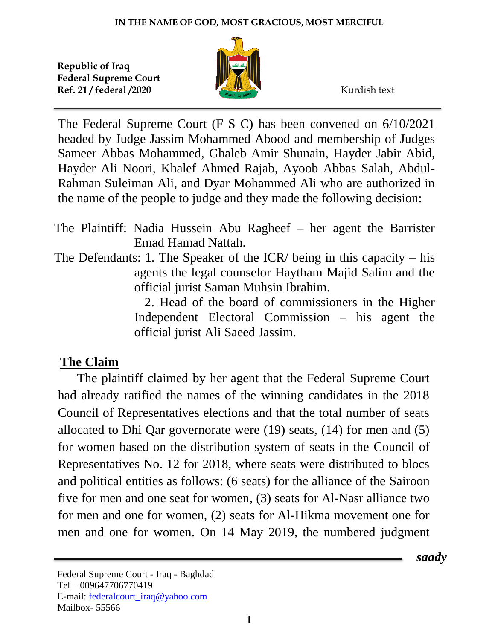

 *saady*

The Federal Supreme Court (F S C) has been convened on 6/10/2021 headed by Judge Jassim Mohammed Abood and membership of Judges Sameer Abbas Mohammed, Ghaleb Amir Shunain, Hayder Jabir Abid, Hayder Ali Noori, Khalef Ahmed Rajab, Ayoob Abbas Salah, Abdul-Rahman Suleiman Ali, and Dyar Mohammed Ali who are authorized in the name of the people to judge and they made the following decision:

- The Plaintiff: Nadia Hussein Abu Ragheef her agent the Barrister Emad Hamad Nattah.
- The Defendants: 1. The Speaker of the ICR/ being in this capacity his agents the legal counselor Haytham Majid Salim and the official jurist Saman Muhsin Ibrahim.

 2. Head of the board of commissioners in the Higher Independent Electoral Commission – his agent the official jurist Ali Saeed Jassim.

## **The Claim**

 The plaintiff claimed by her agent that the Federal Supreme Court had already ratified the names of the winning candidates in the 2018 Council of Representatives elections and that the total number of seats allocated to Dhi Qar governorate were (19) seats, (14) for men and (5) for women based on the distribution system of seats in the Council of Representatives No. 12 for 2018, where seats were distributed to blocs and political entities as follows: (6 seats) for the alliance of the Sairoon five for men and one seat for women, (3) seats for Al-Nasr alliance two for men and one for women, (2) seats for Al-Hikma movement one for men and one for women. On 14 May 2019, the numbered judgment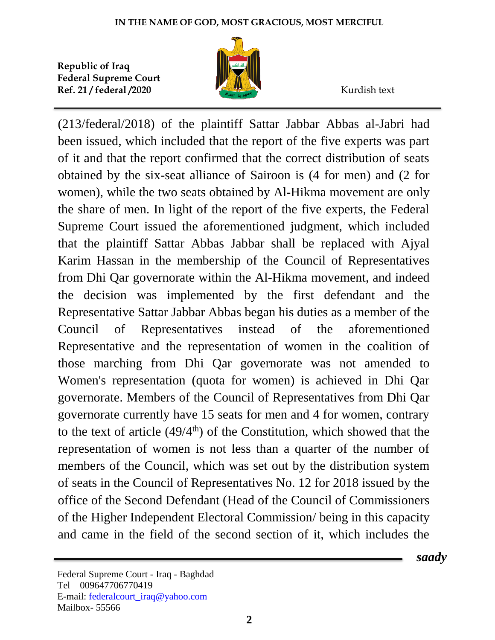

(213/federal/2018) of the plaintiff Sattar Jabbar Abbas al-Jabri had been issued, which included that the report of the five experts was part of it and that the report confirmed that the correct distribution of seats obtained by the six-seat alliance of Sairoon is (4 for men) and (2 for women), while the two seats obtained by Al-Hikma movement are only the share of men. In light of the report of the five experts, the Federal Supreme Court issued the aforementioned judgment, which included that the plaintiff Sattar Abbas Jabbar shall be replaced with Ajyal Karim Hassan in the membership of the Council of Representatives from Dhi Qar governorate within the Al-Hikma movement, and indeed the decision was implemented by the first defendant and the Representative Sattar Jabbar Abbas began his duties as a member of the Council of Representatives instead of the aforementioned Representative and the representation of women in the coalition of those marching from Dhi Qar governorate was not amended to Women's representation (quota for women) is achieved in Dhi Qar governorate. Members of the Council of Representatives from Dhi Qar governorate currently have 15 seats for men and 4 for women, contrary to the text of article  $(49/4<sup>th</sup>)$  of the Constitution, which showed that the representation of women is not less than a quarter of the number of members of the Council, which was set out by the distribution system of seats in the Council of Representatives No. 12 for 2018 issued by the office of the Second Defendant (Head of the Council of Commissioners of the Higher Independent Electoral Commission/ being in this capacity and came in the field of the second section of it, which includes the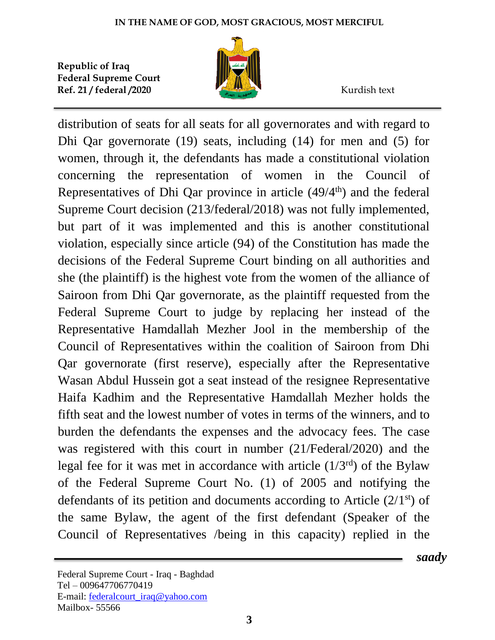

distribution of seats for all seats for all governorates and with regard to Dhi Qar governorate (19) seats, including (14) for men and (5) for women, through it, the defendants has made a constitutional violation concerning the representation of women in the Council of Representatives of Dhi Qar province in article (49/4<sup>th</sup>) and the federal Supreme Court decision (213/federal/2018) was not fully implemented, but part of it was implemented and this is another constitutional violation, especially since article (94) of the Constitution has made the decisions of the Federal Supreme Court binding on all authorities and she (the plaintiff) is the highest vote from the women of the alliance of Sairoon from Dhi Qar governorate, as the plaintiff requested from the Federal Supreme Court to judge by replacing her instead of the Representative Hamdallah Mezher Jool in the membership of the Council of Representatives within the coalition of Sairoon from Dhi Qar governorate (first reserve), especially after the Representative Wasan Abdul Hussein got a seat instead of the resignee Representative Haifa Kadhim and the Representative Hamdallah Mezher holds the fifth seat and the lowest number of votes in terms of the winners, and to burden the defendants the expenses and the advocacy fees. The case was registered with this court in number (21/Federal/2020) and the legal fee for it was met in accordance with article  $(1/3<sup>rd</sup>)$  of the Bylaw of the Federal Supreme Court No. (1) of 2005 and notifying the defendants of its petition and documents according to Article  $(2/1<sup>st</sup>)$  of the same Bylaw, the agent of the first defendant (Speaker of the Council of Representatives /being in this capacity) replied in the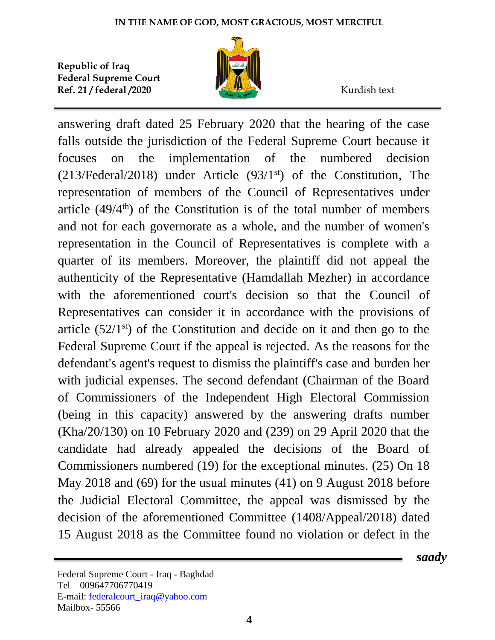

answering draft dated 25 February 2020 that the hearing of the case falls outside the jurisdiction of the Federal Supreme Court because it focuses on the implementation of the numbered decision  $(213/Federal/2018)$  under Article  $(93/1<sup>st</sup>)$  of the Constitution, The representation of members of the Council of Representatives under article  $(49/4<sup>th</sup>)$  of the Constitution is of the total number of members and not for each governorate as a whole, and the number of women's representation in the Council of Representatives is complete with a quarter of its members. Moreover, the plaintiff did not appeal the authenticity of the Representative (Hamdallah Mezher) in accordance with the aforementioned court's decision so that the Council of Representatives can consider it in accordance with the provisions of article  $(52/1<sup>st</sup>)$  of the Constitution and decide on it and then go to the Federal Supreme Court if the appeal is rejected. As the reasons for the defendant's agent's request to dismiss the plaintiff's case and burden her with judicial expenses. The second defendant (Chairman of the Board of Commissioners of the Independent High Electoral Commission (being in this capacity) answered by the answering drafts number (Kha/20/130) on 10 February 2020 and (239) on 29 April 2020 that the candidate had already appealed the decisions of the Board of Commissioners numbered (19) for the exceptional minutes. (25) On 18 May 2018 and (69) for the usual minutes (41) on 9 August 2018 before the Judicial Electoral Committee, the appeal was dismissed by the decision of the aforementioned Committee (1408/Appeal/2018) dated 15 August 2018 as the Committee found no violation or defect in the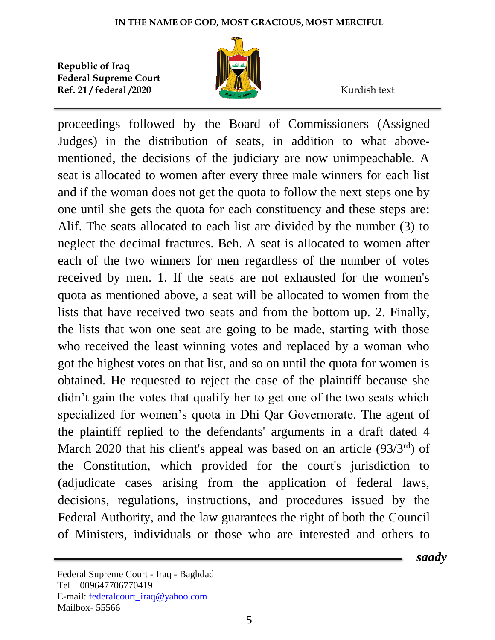

proceedings followed by the Board of Commissioners (Assigned Judges) in the distribution of seats, in addition to what abovementioned, the decisions of the judiciary are now unimpeachable. A seat is allocated to women after every three male winners for each list and if the woman does not get the quota to follow the next steps one by one until she gets the quota for each constituency and these steps are: Alif. The seats allocated to each list are divided by the number (3) to neglect the decimal fractures. Beh. A seat is allocated to women after each of the two winners for men regardless of the number of votes received by men. 1. If the seats are not exhausted for the women's quota as mentioned above, a seat will be allocated to women from the lists that have received two seats and from the bottom up. 2. Finally, the lists that won one seat are going to be made, starting with those who received the least winning votes and replaced by a woman who got the highest votes on that list, and so on until the quota for women is obtained. He requested to reject the case of the plaintiff because she didn't gain the votes that qualify her to get one of the two seats which specialized for women's quota in Dhi Qar Governorate. The agent of the plaintiff replied to the defendants' arguments in a draft dated 4 March 2020 that his client's appeal was based on an article  $(93/3<sup>rd</sup>)$  of the Constitution, which provided for the court's jurisdiction to (adjudicate cases arising from the application of federal laws, decisions, regulations, instructions, and procedures issued by the Federal Authority, and the law guarantees the right of both the Council of Ministers, individuals or those who are interested and others to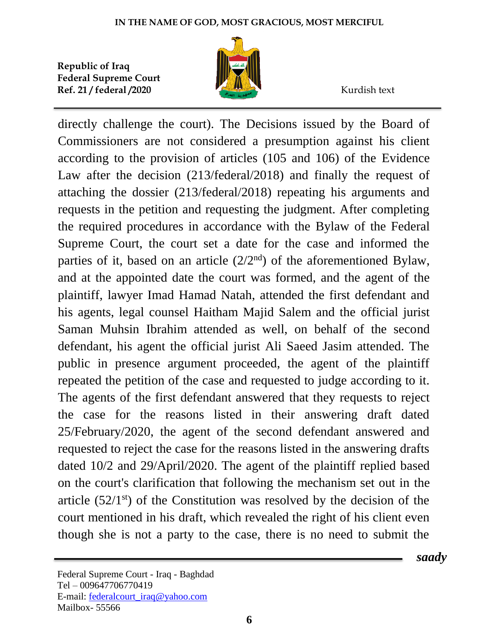

directly challenge the court). The Decisions issued by the Board of Commissioners are not considered a presumption against his client according to the provision of articles (105 and 106) of the Evidence Law after the decision (213/federal/2018) and finally the request of attaching the dossier (213/federal/2018) repeating his arguments and requests in the petition and requesting the judgment. After completing the required procedures in accordance with the Bylaw of the Federal Supreme Court, the court set a date for the case and informed the parties of it, based on an article  $(2/2<sup>nd</sup>)$  of the aforementioned Bylaw, and at the appointed date the court was formed, and the agent of the plaintiff, lawyer Imad Hamad Natah, attended the first defendant and his agents, legal counsel Haitham Majid Salem and the official jurist Saman Muhsin Ibrahim attended as well, on behalf of the second defendant, his agent the official jurist Ali Saeed Jasim attended. The public in presence argument proceeded, the agent of the plaintiff repeated the petition of the case and requested to judge according to it. The agents of the first defendant answered that they requests to reject the case for the reasons listed in their answering draft dated 25/February/2020, the agent of the second defendant answered and requested to reject the case for the reasons listed in the answering drafts dated 10/2 and 29/April/2020. The agent of the plaintiff replied based on the court's clarification that following the mechanism set out in the article  $(52/1<sup>st</sup>)$  of the Constitution was resolved by the decision of the court mentioned in his draft, which revealed the right of his client even though she is not a party to the case, there is no need to submit the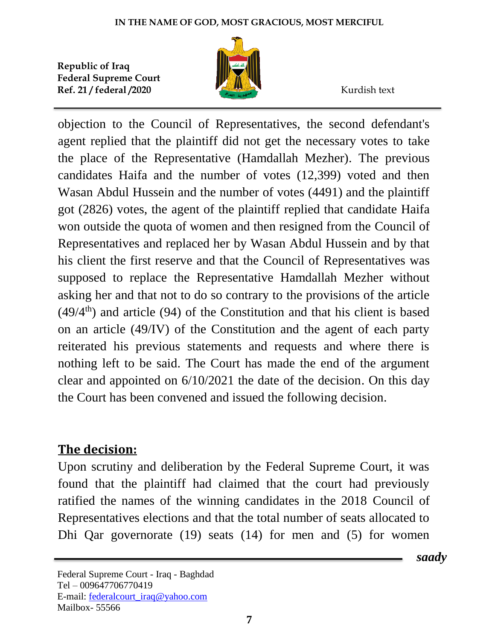

 *saady*

objection to the Council of Representatives, the second defendant's agent replied that the plaintiff did not get the necessary votes to take the place of the Representative (Hamdallah Mezher). The previous candidates Haifa and the number of votes (12,399) voted and then Wasan Abdul Hussein and the number of votes (4491) and the plaintiff got (2826) votes, the agent of the plaintiff replied that candidate Haifa won outside the quota of women and then resigned from the Council of Representatives and replaced her by Wasan Abdul Hussein and by that his client the first reserve and that the Council of Representatives was supposed to replace the Representative Hamdallah Mezher without asking her and that not to do so contrary to the provisions of the article  $(49/4<sup>th</sup>)$  and article (94) of the Constitution and that his client is based on an article (49/IV) of the Constitution and the agent of each party reiterated his previous statements and requests and where there is nothing left to be said. The Court has made the end of the argument clear and appointed on 6/10/2021 the date of the decision. On this day the Court has been convened and issued the following decision.

## **The decision:**

Upon scrutiny and deliberation by the Federal Supreme Court, it was found that the plaintiff had claimed that the court had previously ratified the names of the winning candidates in the 2018 Council of Representatives elections and that the total number of seats allocated to Dhi Qar governorate (19) seats (14) for men and (5) for women

Federal Supreme Court - Iraq - Baghdad Tel – 009647706770419 E-mail: [federalcourt\\_iraq@yahoo.com](mailto:federalcourt_iraq@yahoo.com) Mailbox- 55566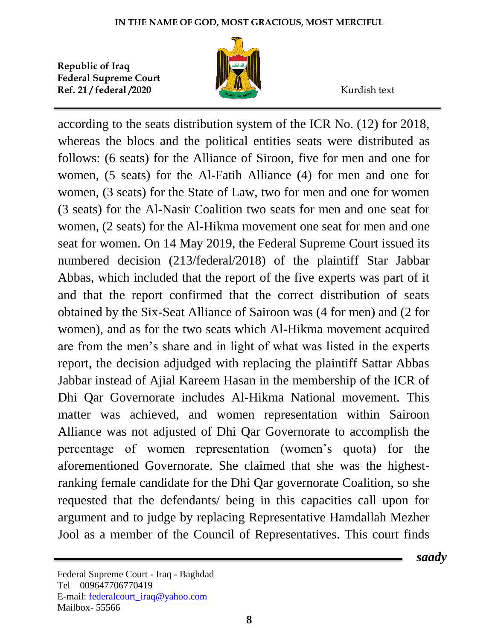

according to the seats distribution system of the ICR No. (12) for 2018, whereas the blocs and the political entities seats were distributed as follows: (6 seats) for the Alliance of Siroon, five for men and one for women, (5 seats) for the Al-Fatih Alliance (4) for men and one for women, (3 seats) for the State of Law, two for men and one for women (3 seats) for the Al-Nasir Coalition two seats for men and one seat for women, (2 seats) for the Al-Hikma movement one seat for men and one seat for women. On 14 May 2019, the Federal Supreme Court issued its numbered decision (213/federal/2018) of the plaintiff Star Jabbar Abbas, which included that the report of the five experts was part of it and that the report confirmed that the correct distribution of seats obtained by the Six-Seat Alliance of Sairoon was (4 for men) and (2 for women), and as for the two seats which Al-Hikma movement acquired are from the men's share and in light of what was listed in the experts report, the decision adjudged with replacing the plaintiff Sattar Abbas Jabbar instead of Ajial Kareem Hasan in the membership of the ICR of Dhi Qar Governorate includes Al-Hikma National movement. This matter was achieved, and women representation within Sairoon Alliance was not adjusted of Dhi Qar Governorate to accomplish the percentage of women representation (women's quota) for the aforementioned Governorate. She claimed that she was the highestranking female candidate for the Dhi Qar governorate Coalition, so she requested that the defendants/ being in this capacities call upon for argument and to judge by replacing Representative Hamdallah Mezher Jool as a member of the Council of Representatives. This court finds